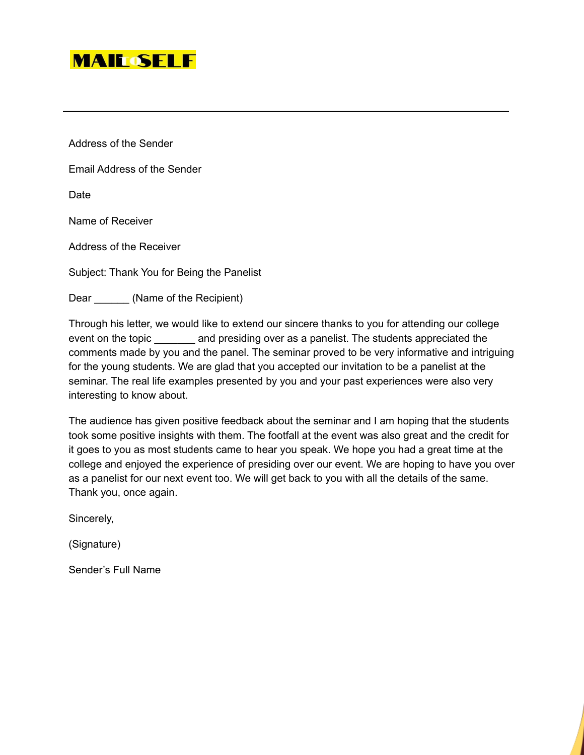

Address of the Sender

Email Address of the Sender

Date

Name of Receiver

Address of the Receiver

Subject: Thank You for Being the Panelist

Dear (Name of the Recipient)

Through his letter, we would like to extend our sincere thanks to you for attending our college event on the topic \_\_\_\_\_\_\_ and presiding over as a panelist. The students appreciated the comments made by you and the panel. The seminar proved to be very informative and intriguing for the young students. We are glad that you accepted our invitation to be a panelist at the seminar. The real life examples presented by you and your past experiences were also very interesting to know about.

The audience has given positive feedback about the seminar and I am hoping that the students took some positive insights with them. The footfall at the event was also great and the credit for it goes to you as most students came to hear you speak. We hope you had a great time at the college and enjoyed the experience of presiding over our event. We are hoping to have you over as a panelist for our next event too. We will get back to you with all the details of the same. Thank you, once again.

Sincerely,

(Signature)

Sender's Full Name